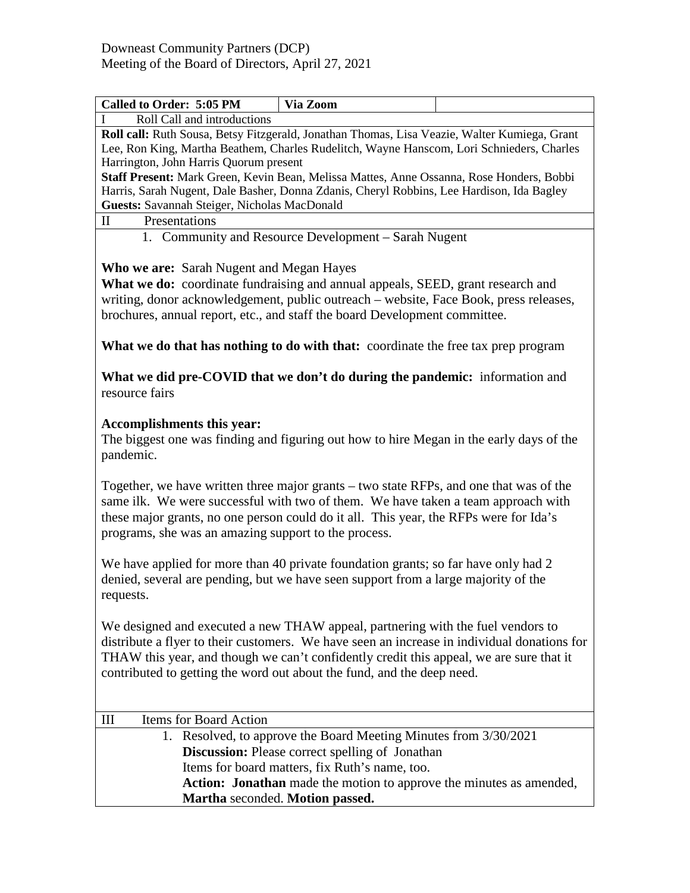|                                                                                                                                                                                                                                                                                                                                                     | Via Zoom                                                                                     |  |  |  |
|-----------------------------------------------------------------------------------------------------------------------------------------------------------------------------------------------------------------------------------------------------------------------------------------------------------------------------------------------------|----------------------------------------------------------------------------------------------|--|--|--|
| Called to Order: 5:05 PM<br>Roll Call and introductions                                                                                                                                                                                                                                                                                             |                                                                                              |  |  |  |
|                                                                                                                                                                                                                                                                                                                                                     | Roll call: Ruth Sousa, Betsy Fitzgerald, Jonathan Thomas, Lisa Veazie, Walter Kumiega, Grant |  |  |  |
|                                                                                                                                                                                                                                                                                                                                                     |                                                                                              |  |  |  |
| Lee, Ron King, Martha Beathem, Charles Rudelitch, Wayne Hanscom, Lori Schnieders, Charles<br>Harrington, John Harris Quorum present                                                                                                                                                                                                                 |                                                                                              |  |  |  |
|                                                                                                                                                                                                                                                                                                                                                     | Staff Present: Mark Green, Kevin Bean, Melissa Mattes, Anne Ossanna, Rose Honders, Bobbi     |  |  |  |
|                                                                                                                                                                                                                                                                                                                                                     |                                                                                              |  |  |  |
| Harris, Sarah Nugent, Dale Basher, Donna Zdanis, Cheryl Robbins, Lee Hardison, Ida Bagley<br>Guests: Savannah Steiger, Nicholas MacDonald                                                                                                                                                                                                           |                                                                                              |  |  |  |
| Presentations<br>П                                                                                                                                                                                                                                                                                                                                  |                                                                                              |  |  |  |
| 1. Community and Resource Development – Sarah Nugent                                                                                                                                                                                                                                                                                                |                                                                                              |  |  |  |
|                                                                                                                                                                                                                                                                                                                                                     |                                                                                              |  |  |  |
| Who we are: Sarah Nugent and Megan Hayes                                                                                                                                                                                                                                                                                                            |                                                                                              |  |  |  |
|                                                                                                                                                                                                                                                                                                                                                     | What we do: coordinate fundraising and annual appeals, SEED, grant research and              |  |  |  |
|                                                                                                                                                                                                                                                                                                                                                     | writing, donor acknowledgement, public outreach - website, Face Book, press releases,        |  |  |  |
|                                                                                                                                                                                                                                                                                                                                                     | brochures, annual report, etc., and staff the board Development committee.                   |  |  |  |
|                                                                                                                                                                                                                                                                                                                                                     |                                                                                              |  |  |  |
| What we do that has nothing to do with that: coordinate the free tax prep program                                                                                                                                                                                                                                                                   |                                                                                              |  |  |  |
|                                                                                                                                                                                                                                                                                                                                                     | What we did pre-COVID that we don't do during the pandemic: information and                  |  |  |  |
| resource fairs                                                                                                                                                                                                                                                                                                                                      |                                                                                              |  |  |  |
|                                                                                                                                                                                                                                                                                                                                                     |                                                                                              |  |  |  |
| Accomplishments this year:<br>The biggest one was finding and figuring out how to hire Megan in the early days of the<br>pandemic.                                                                                                                                                                                                                  |                                                                                              |  |  |  |
| Together, we have written three major grants – two state RFPs, and one that was of the<br>same ilk. We were successful with two of them. We have taken a team approach with<br>these major grants, no one person could do it all. This year, the RFPs were for Ida's<br>programs, she was an amazing support to the process.                        |                                                                                              |  |  |  |
| We have applied for more than 40 private foundation grants; so far have only had 2<br>denied, several are pending, but we have seen support from a large majority of the<br>requests.                                                                                                                                                               |                                                                                              |  |  |  |
| We designed and executed a new THAW appeal, partnering with the fuel vendors to<br>distribute a flyer to their customers. We have seen an increase in individual donations for<br>THAW this year, and though we can't confidently credit this appeal, we are sure that it<br>contributed to getting the word out about the fund, and the deep need. |                                                                                              |  |  |  |
| Items for Board Action<br>Ш                                                                                                                                                                                                                                                                                                                         |                                                                                              |  |  |  |
| 1. Resolved, to approve the Board Meeting Minutes from 3/30/2021                                                                                                                                                                                                                                                                                    |                                                                                              |  |  |  |
| <b>Discussion:</b> Please correct spelling of Jonathan                                                                                                                                                                                                                                                                                              |                                                                                              |  |  |  |
| Items for board matters, fix Ruth's name, too.                                                                                                                                                                                                                                                                                                      |                                                                                              |  |  |  |
| Action: Jonathan made the motion to approve the minutes as amended,                                                                                                                                                                                                                                                                                 |                                                                                              |  |  |  |
| Martha seconded. Motion passed.                                                                                                                                                                                                                                                                                                                     |                                                                                              |  |  |  |
|                                                                                                                                                                                                                                                                                                                                                     |                                                                                              |  |  |  |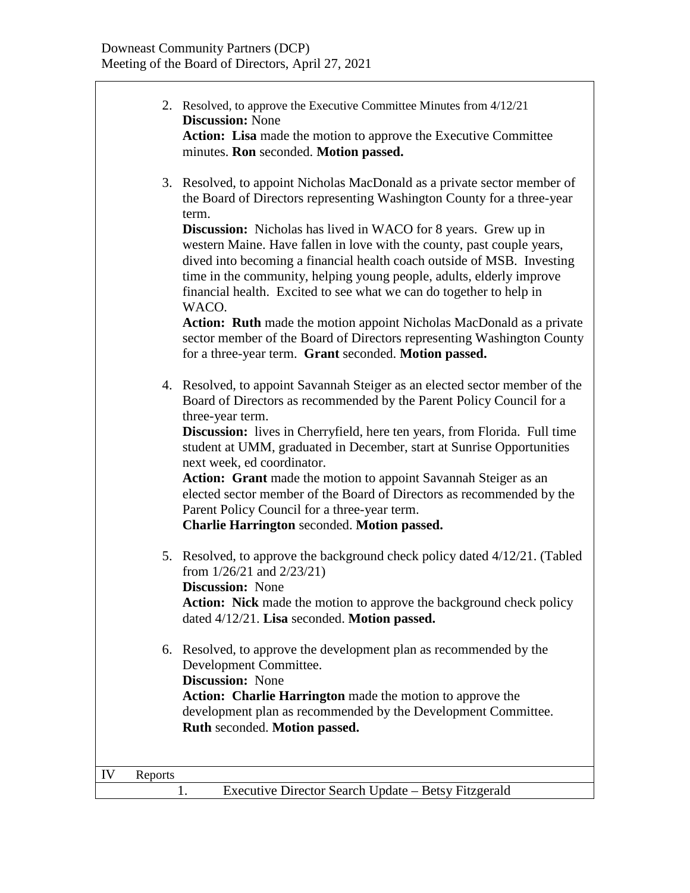|    |         | 2. Resolved, to approve the Executive Committee Minutes from 4/12/21<br><b>Discussion: None</b><br>Action: Lisa made the motion to approve the Executive Committee<br>minutes. Ron seconded. Motion passed.                                                                                                                                                                       |
|----|---------|-----------------------------------------------------------------------------------------------------------------------------------------------------------------------------------------------------------------------------------------------------------------------------------------------------------------------------------------------------------------------------------|
|    |         | 3. Resolved, to appoint Nicholas MacDonald as a private sector member of<br>the Board of Directors representing Washington County for a three-year<br>term.                                                                                                                                                                                                                       |
|    |         | <b>Discussion:</b> Nicholas has lived in WACO for 8 years. Grew up in<br>western Maine. Have fallen in love with the county, past couple years,<br>dived into becoming a financial health coach outside of MSB. Investing<br>time in the community, helping young people, adults, elderly improve<br>financial health. Excited to see what we can do together to help in<br>WACO. |
|    |         | Action: Ruth made the motion appoint Nicholas MacDonald as a private<br>sector member of the Board of Directors representing Washington County<br>for a three-year term. Grant seconded. Motion passed.                                                                                                                                                                           |
|    |         | 4. Resolved, to appoint Savannah Steiger as an elected sector member of the<br>Board of Directors as recommended by the Parent Policy Council for a<br>three-year term.                                                                                                                                                                                                           |
|    |         | Discussion: lives in Cherryfield, here ten years, from Florida. Full time<br>student at UMM, graduated in December, start at Sunrise Opportunities<br>next week, ed coordinator.<br>Action: Grant made the motion to appoint Savannah Steiger as an<br>elected sector member of the Board of Directors as recommended by the<br>Parent Policy Council for a three-year term.      |
|    |         | Charlie Harrington seconded. Motion passed.                                                                                                                                                                                                                                                                                                                                       |
|    |         | 5. Resolved, to approve the background check policy dated 4/12/21. (Tabled<br>from $1/26/21$ and $2/23/21$ )<br><b>Discussion:</b> None                                                                                                                                                                                                                                           |
|    |         | <b>Action:</b> Nick made the motion to approve the background check policy<br>dated 4/12/21. Lisa seconded. Motion passed.                                                                                                                                                                                                                                                        |
|    |         | 6. Resolved, to approve the development plan as recommended by the<br>Development Committee.<br><b>Discussion:</b> None                                                                                                                                                                                                                                                           |
|    |         | Action: Charlie Harrington made the motion to approve the<br>development plan as recommended by the Development Committee.<br>Ruth seconded. Motion passed.                                                                                                                                                                                                                       |
| IV | Reports |                                                                                                                                                                                                                                                                                                                                                                                   |
|    |         | Executive Director Search Update - Betsy Fitzgerald<br>1.                                                                                                                                                                                                                                                                                                                         |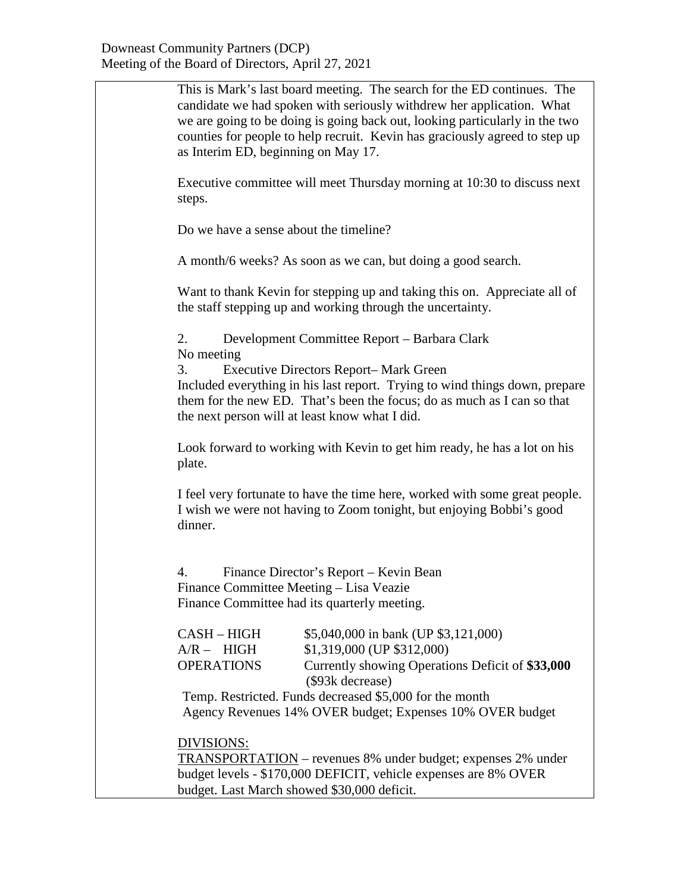## Downeast Community Partners (DCP) Meeting of the Board of Directors, April 27, 2021

This is Mark's last board meeting. The search for the ED continues. The candidate we had spoken with seriously withdrew her application. What we are going to be doing is going back out, looking particularly in the two counties for people to help recruit. Kevin has graciously agreed to step up as Interim ED, beginning on May 17. Executive committee will meet Thursday morning at 10:30 to discuss next steps. Do we have a sense about the timeline? A month/6 weeks? As soon as we can, but doing a good search. Want to thank Kevin for stepping up and taking this on. Appreciate all of the staff stepping up and working through the uncertainty. 2. Development Committee Report – Barbara Clark No meeting 3. Executive Directors Report– Mark Green Included everything in his last report. Trying to wind things down, prepare them for the new ED. That's been the focus; do as much as I can so that the next person will at least know what I did. Look forward to working with Kevin to get him ready, he has a lot on his plate. I feel very fortunate to have the time here, worked with some great people. I wish we were not having to Zoom tonight, but enjoying Bobbi's good dinner. 4. Finance Director's Report – Kevin Bean Finance Committee Meeting – Lisa Veazie Finance Committee had its quarterly meeting. CASH – HIGH \$5,040,000 in bank (UP \$3,121,000) A/R – HIGH \$1,319,000 (UP \$312,000) OPERATIONS Currently showing Operations Deficit of **\$33,000** (\$93k decrease) Temp. Restricted. Funds decreased \$5,000 for the month Agency Revenues 14% OVER budget; Expenses 10% OVER budget DIVISIONS: TRANSPORTATION – revenues 8% under budget; expenses 2% under

budget levels - \$170,000 DEFICIT, vehicle expenses are 8% OVER budget. Last March showed \$30,000 deficit.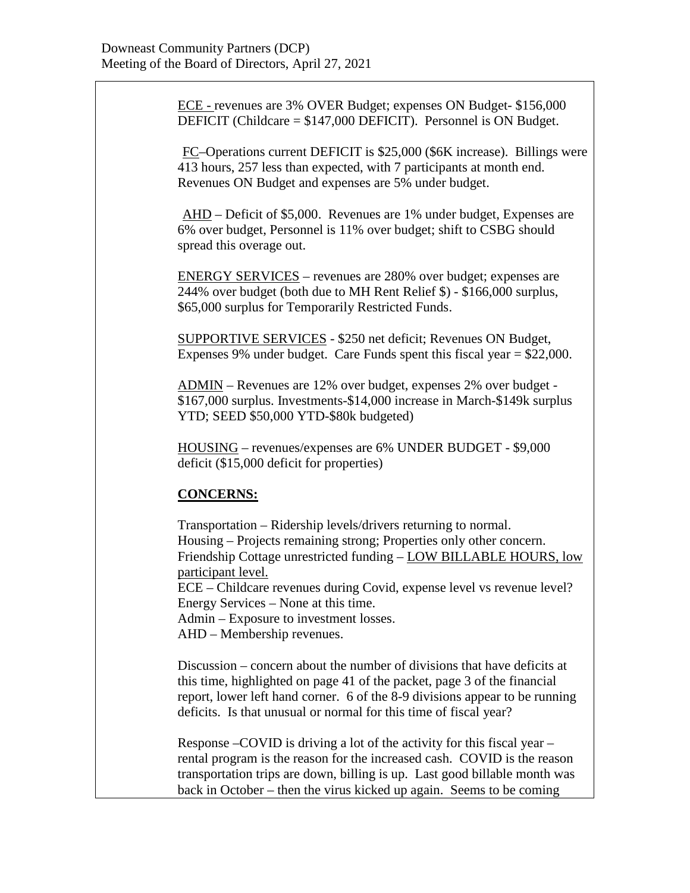ECE - revenues are 3% OVER Budget; expenses ON Budget- \$156,000 DEFICIT (Childcare = \$147,000 DEFICIT). Personnel is ON Budget.

FC–Operations current DEFICIT is \$25,000 (\$6K increase). Billings were 413 hours, 257 less than expected, with 7 participants at month end. Revenues ON Budget and expenses are 5% under budget.

AHD – Deficit of \$5,000. Revenues are 1% under budget, Expenses are 6% over budget, Personnel is 11% over budget; shift to CSBG should spread this overage out.

ENERGY SERVICES – revenues are 280% over budget; expenses are 244% over budget (both due to MH Rent Relief \$) - \$166,000 surplus, \$65,000 surplus for Temporarily Restricted Funds.

SUPPORTIVE SERVICES - \$250 net deficit; Revenues ON Budget, Expenses 9% under budget. Care Funds spent this fiscal year = \$22,000.

ADMIN – Revenues are 12% over budget, expenses 2% over budget - \$167,000 surplus. Investments-\$14,000 increase in March-\$149k surplus YTD; SEED \$50,000 YTD-\$80k budgeted)

HOUSING – revenues/expenses are 6% UNDER BUDGET - \$9,000 deficit (\$15,000 deficit for properties)

## **CONCERNS:**

Transportation – Ridership levels/drivers returning to normal. Housing – Projects remaining strong; Properties only other concern. Friendship Cottage unrestricted funding – LOW BILLABLE HOURS, low participant level.

ECE – Childcare revenues during Covid, expense level vs revenue level? Energy Services – None at this time.

Admin – Exposure to investment losses.

AHD – Membership revenues.

Discussion – concern about the number of divisions that have deficits at this time, highlighted on page 41 of the packet, page 3 of the financial report, lower left hand corner. 6 of the 8-9 divisions appear to be running deficits. Is that unusual or normal for this time of fiscal year?

Response –COVID is driving a lot of the activity for this fiscal year – rental program is the reason for the increased cash. COVID is the reason transportation trips are down, billing is up. Last good billable month was back in October – then the virus kicked up again. Seems to be coming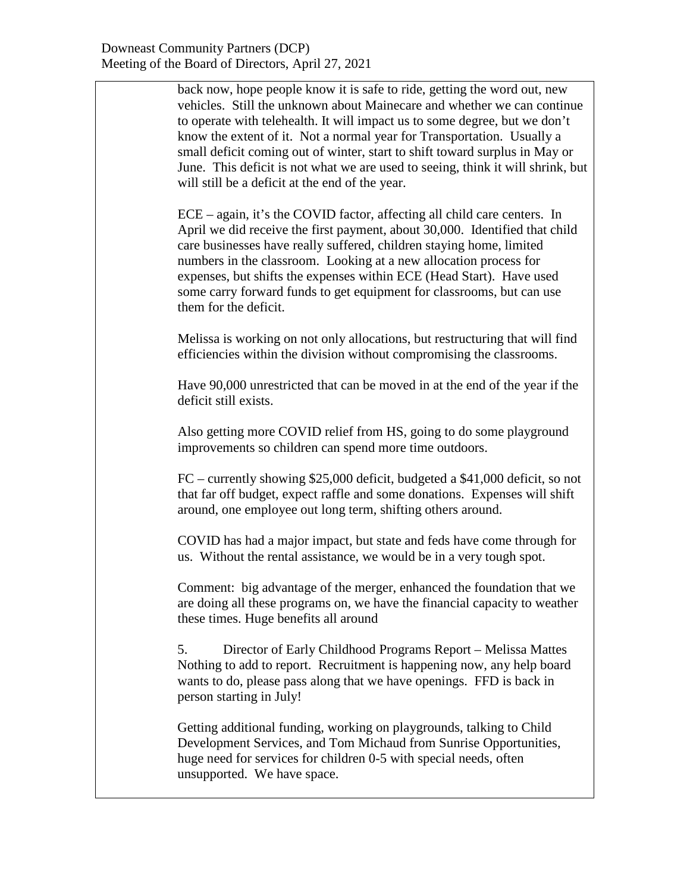back now, hope people know it is safe to ride, getting the word out, new vehicles. Still the unknown about Mainecare and whether we can continue to operate with telehealth. It will impact us to some degree, but we don't know the extent of it. Not a normal year for Transportation. Usually a small deficit coming out of winter, start to shift toward surplus in May or June. This deficit is not what we are used to seeing, think it will shrink, but will still be a deficit at the end of the year. ECE – again, it's the COVID factor, affecting all child care centers. In April we did receive the first payment, about 30,000. Identified that child care businesses have really suffered, children staying home, limited numbers in the classroom. Looking at a new allocation process for expenses, but shifts the expenses within ECE (Head Start). Have used some carry forward funds to get equipment for classrooms, but can use them for the deficit. Melissa is working on not only allocations, but restructuring that will find efficiencies within the division without compromising the classrooms. Have 90,000 unrestricted that can be moved in at the end of the year if the deficit still exists. Also getting more COVID relief from HS, going to do some playground improvements so children can spend more time outdoors. FC – currently showing \$25,000 deficit, budgeted a \$41,000 deficit, so not that far off budget, expect raffle and some donations. Expenses will shift around, one employee out long term, shifting others around.

COVID has had a major impact, but state and feds have come through for us. Without the rental assistance, we would be in a very tough spot.

Comment: big advantage of the merger, enhanced the foundation that we are doing all these programs on, we have the financial capacity to weather these times. Huge benefits all around

5. Director of Early Childhood Programs Report – Melissa Mattes Nothing to add to report. Recruitment is happening now, any help board wants to do, please pass along that we have openings. FFD is back in person starting in July!

Getting additional funding, working on playgrounds, talking to Child Development Services, and Tom Michaud from Sunrise Opportunities, huge need for services for children 0-5 with special needs, often unsupported. We have space.